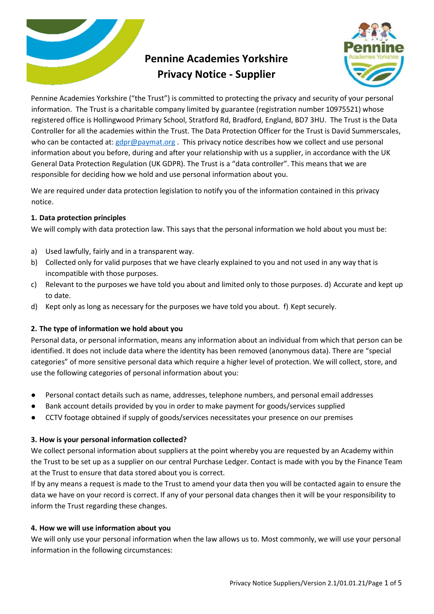

# **Pennine Academies Yorkshire Privacy Notice - Supplier**



Pennine Academies Yorkshire ("the Trust") is committed to protecting the privacy and security of your personal information. The Trust is a charitable company limited by guarantee (registration number 10975521) whose registered office is Hollingwood Primary School, Stratford Rd, Bradford, England, BD7 3HU. The Trust is the Data Controller for all the academies within the Trust. The Data Protection Officer for the Trust is David Summerscales, who can be contacted at[: gdpr@paymat.org](mailto:gdpr@paymat.org). This privacy notice describes how we collect and use personal information about you before, during and after your relationship with us a supplier, in accordance with the UK General Data Protection Regulation (UK GDPR). The Trust is a "data controller". This means that we are responsible for deciding how we hold and use personal information about you.

We are required under data protection legislation to notify you of the information contained in this privacy notice.

# **1. Data protection principles**

We will comply with data protection law. This says that the personal information we hold about you must be:

- a) Used lawfully, fairly and in a transparent way.
- b) Collected only for valid purposes that we have clearly explained to you and not used in any way that is incompatible with those purposes.
- c) Relevant to the purposes we have told you about and limited only to those purposes. d) Accurate and kept up to date.
- d) Kept only as long as necessary for the purposes we have told you about. f) Kept securely.

# **2. The type of information we hold about you**

Personal data, or personal information, means any information about an individual from which that person can be identified. It does not include data where the identity has been removed (anonymous data). There are "special categories" of more sensitive personal data which require a higher level of protection. We will collect, store, and use the following categories of personal information about you:

- Personal contact details such as name, addresses, telephone numbers, and personal email addresses
- Bank account details provided by you in order to make payment for goods/services supplied
- CCTV footage obtained if supply of goods/services necessitates your presence on our premises

# **3. How is your personal information collected?**

We collect personal information about suppliers at the point whereby you are requested by an Academy within the Trust to be set up as a supplier on our central Purchase Ledger. Contact is made with you by the Finance Team at the Trust to ensure that data stored about you is correct.

If by any means a request is made to the Trust to amend your data then you will be contacted again to ensure the data we have on your record is correct. If any of your personal data changes then it will be your responsibility to inform the Trust regarding these changes.

## **4. How we will use information about you**

We will only use your personal information when the law allows us to. Most commonly, we will use your personal information in the following circumstances: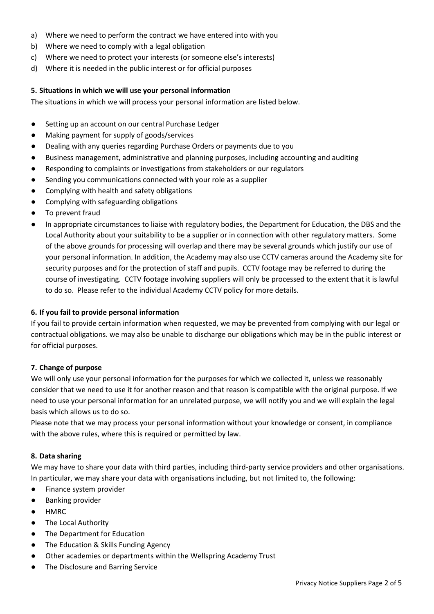- a) Where we need to perform the contract we have entered into with you
- b) Where we need to comply with a legal obligation
- c) Where we need to protect your interests (or someone else's interests)
- d) Where it is needed in the public interest or for official purposes

#### **5. Situations in which we will use your personal information**

The situations in which we will process your personal information are listed below.

- Setting up an account on our central Purchase Ledger
- Making payment for supply of goods/services
- Dealing with any queries regarding Purchase Orders or payments due to you
- Business management, administrative and planning purposes, including accounting and auditing
- Responding to complaints or investigations from stakeholders or our regulators
- Sending you communications connected with your role as a supplier
- Complying with health and safety obligations
- Complying with safeguarding obligations
- To prevent fraud
- In appropriate circumstances to liaise with regulatory bodies, the Department for Education, the DBS and the Local Authority about your suitability to be a supplier or in connection with other regulatory matters. Some of the above grounds for processing will overlap and there may be several grounds which justify our use of your personal information. In addition, the Academy may also use CCTV cameras around the Academy site for security purposes and for the protection of staff and pupils. CCTV footage may be referred to during the course of investigating. CCTV footage involving suppliers will only be processed to the extent that it is lawful to do so. Please refer to the individual Academy CCTV policy for more details.

#### **6. If you fail to provide personal information**

If you fail to provide certain information when requested, we may be prevented from complying with our legal or contractual obligations. we may also be unable to discharge our obligations which may be in the public interest or for official purposes.

#### **7. Change of purpose**

We will only use your personal information for the purposes for which we collected it, unless we reasonably consider that we need to use it for another reason and that reason is compatible with the original purpose. If we need to use your personal information for an unrelated purpose, we will notify you and we will explain the legal basis which allows us to do so.

Please note that we may process your personal information without your knowledge or consent, in compliance with the above rules, where this is required or permitted by law.

#### **8. Data sharing**

We may have to share your data with third parties, including third-party service providers and other organisations. In particular, we may share your data with organisations including, but not limited to, the following:

- Finance system provider
- Banking provider
- HMRC
- The Local Authority
- The Department for Education
- The Education & Skills Funding Agency
- Other academies or departments within the Wellspring Academy Trust
- The Disclosure and Barring Service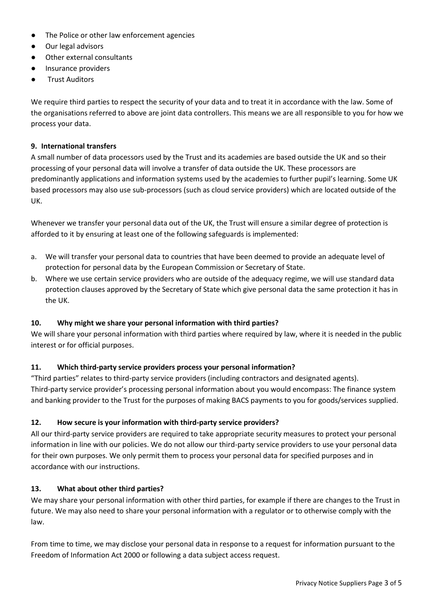- The Police or other law enforcement agencies
- Our legal advisors
- Other external consultants
- Insurance providers
- **Trust Auditors**

We require third parties to respect the security of your data and to treat it in accordance with the law. Some of the organisations referred to above are joint data controllers. This means we are all responsible to you for how we process your data.

### **9. International transfers**

A small number of data processors used by the Trust and its academies are based outside the UK and so their processing of your personal data will involve a transfer of data outside the UK. These processors are predominantly applications and information systems used by the academies to further pupil's learning. Some UK based processors may also use sub-processors (such as cloud service providers) which are located outside of the UK.

Whenever we transfer your personal data out of the UK, the Trust will ensure a similar degree of protection is afforded to it by ensuring at least one of the following safeguards is implemented:

- a. We will transfer your personal data to countries that have been deemed to provide an adequate level of protection for personal data by the European Commission or Secretary of State.
- b. Where we use certain service providers who are outside of the adequacy regime, we will use standard data protection clauses approved by the Secretary of State which give personal data the same protection it has in the UK.

## **10. Why might we share your personal information with third parties?**

We will share your personal information with third parties where required by law, where it is needed in the public interest or for official purposes.

## **11. Which third-party service providers process your personal information?**

"Third parties" relates to third-party service providers (including contractors and designated agents). Third-party service provider's processing personal information about you would encompass: The finance system and banking provider to the Trust for the purposes of making BACS payments to you for goods/services supplied.

## **12. How secure is your information with third-party service providers?**

All our third-party service providers are required to take appropriate security measures to protect your personal information in line with our policies. We do not allow our third-party service providers to use your personal data for their own purposes. We only permit them to process your personal data for specified purposes and in accordance with our instructions.

#### **13. What about other third parties?**

We may share your personal information with other third parties, for example if there are changes to the Trust in future. We may also need to share your personal information with a regulator or to otherwise comply with the law.

From time to time, we may disclose your personal data in response to a request for information pursuant to the Freedom of Information Act 2000 or following a data subject access request.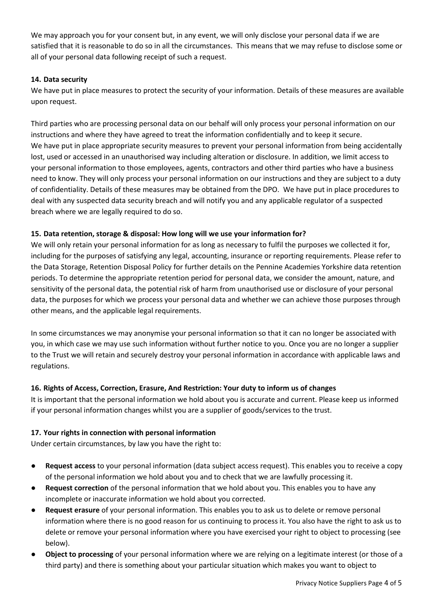We may approach you for your consent but, in any event, we will only disclose your personal data if we are satisfied that it is reasonable to do so in all the circumstances. This means that we may refuse to disclose some or all of your personal data following receipt of such a request.

## **14. Data security**

We have put in place measures to protect the security of your information. Details of these measures are available upon request.

Third parties who are processing personal data on our behalf will only process your personal information on our instructions and where they have agreed to treat the information confidentially and to keep it secure. We have put in place appropriate security measures to prevent your personal information from being accidentally lost, used or accessed in an unauthorised way including alteration or disclosure. In addition, we limit access to your personal information to those employees, agents, contractors and other third parties who have a business need to know. They will only process your personal information on our instructions and they are subject to a duty of confidentiality. Details of these measures may be obtained from the DPO. We have put in place procedures to deal with any suspected data security breach and will notify you and any applicable regulator of a suspected breach where we are legally required to do so.

## **15. Data retention, storage & disposal: How long will we use your information for?**

We will only retain your personal information for as long as necessary to fulfil the purposes we collected it for, including for the purposes of satisfying any legal, accounting, insurance or reporting requirements. Please refer to the Data Storage, Retention Disposal Polic[y](https://www.google.com/url?q=https://wellspringacademytrust.co.uk/about-us/policies-documents/&sa=D&ust=1598618633979000&usg=AFQjCNH0s_FFew5TY9fs7daie4z3RtS6Gw) for further details on the Pennine Academies Yorkshire data retention periods. To determine the appropriate retention period for personal data, we consider the amount, nature, and sensitivity of the personal data, the potential risk of harm from unauthorised use or disclosure of your personal data, the purposes for which we process your personal data and whether we can achieve those purposes through other means, and the applicable legal requirements.

In some circumstances we may anonymise your personal information so that it can no longer be associated with you, in which case we may use such information without further notice to you. Once you are no longer a supplier to the Trust we will retain and securely destroy your personal information in accordance with applicable laws and regulations.

# **16. Rights of Access, Correction, Erasure, And Restriction: Your duty to inform us of changes**

It is important that the personal information we hold about you is accurate and current. Please keep us informed if your personal information changes whilst you are a supplier of goods/services to the trust.

## **17. Your rights in connection with personal information**

Under certain circumstances, by law you have the right to:

- **Request access** to your personal information (data subject access request). This enables you to receive a copy of the personal information we hold about you and to check that we are lawfully processing it.
- **Request correction** of the personal information that we hold about you. This enables you to have any incomplete or inaccurate information we hold about you corrected.
- **Request erasure** of your personal information. This enables you to ask us to delete or remove personal information where there is no good reason for us continuing to process it. You also have the right to ask us to delete or remove your personal information where you have exercised your right to object to processing (see below).
- **Object to processing** of your personal information where we are relying on a legitimate interest (or those of a third party) and there is something about your particular situation which makes you want to object to